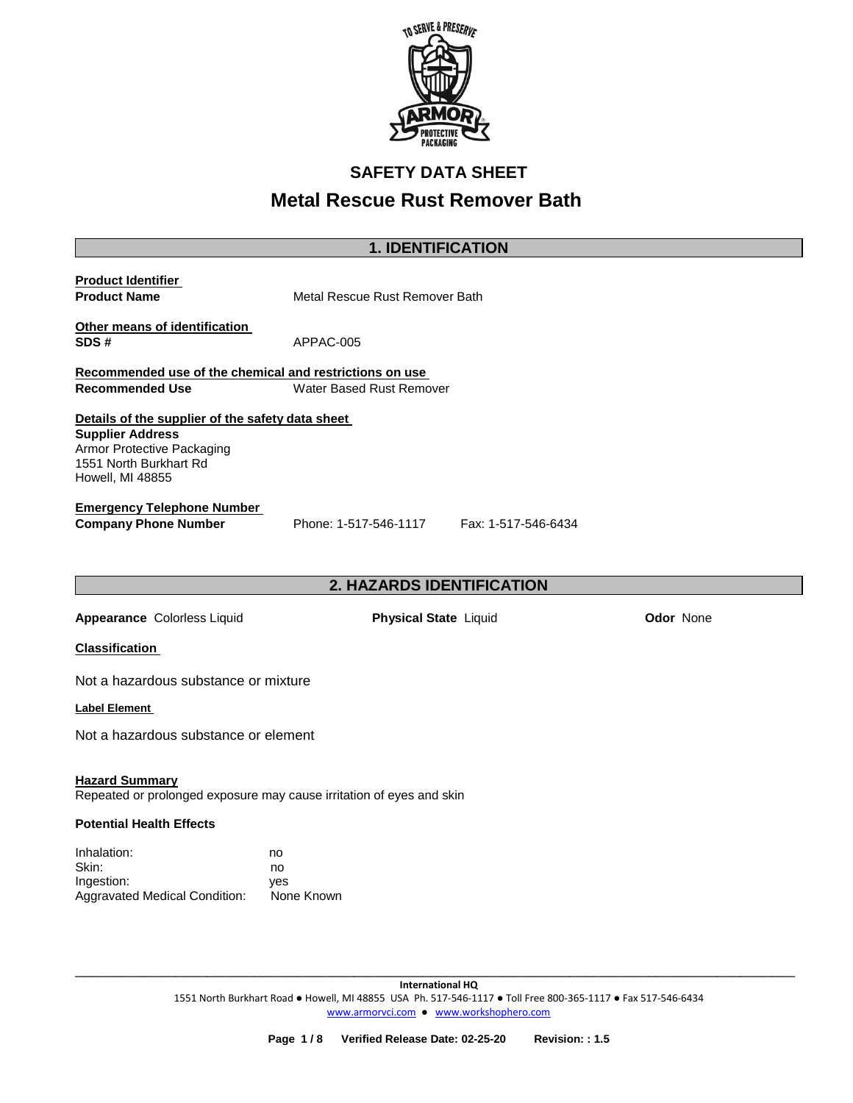

# **SAFETY DATA SHEET**

# **Metal Rescue Rust Remover Bath**

| <b>1. IDENTIFICATION</b>                                                                                                                                |                                                                      |                  |  |  |
|---------------------------------------------------------------------------------------------------------------------------------------------------------|----------------------------------------------------------------------|------------------|--|--|
| <b>Product Identifier</b><br><b>Product Name</b><br>Metal Rescue Rust Remover Bath                                                                      |                                                                      |                  |  |  |
| Other means of identification<br>SDS#                                                                                                                   | APPAC-005                                                            |                  |  |  |
| Recommended use of the chemical and restrictions on use                                                                                                 |                                                                      |                  |  |  |
| <b>Recommended Use</b>                                                                                                                                  | Water Based Rust Remover                                             |                  |  |  |
| Details of the supplier of the safety data sheet<br><b>Supplier Address</b><br>Armor Protective Packaging<br>1551 North Burkhart Rd<br>Howell, MI 48855 |                                                                      |                  |  |  |
| <b>Emergency Telephone Number</b><br><b>Company Phone Number</b>                                                                                        | Phone: 1-517-546-1117<br>Fax: 1-517-546-6434                         |                  |  |  |
|                                                                                                                                                         | 2. HAZARDS IDENTIFICATION                                            |                  |  |  |
| Appearance Colorless Liquid                                                                                                                             | <b>Physical State Liquid</b>                                         | <b>Odor None</b> |  |  |
| <b>Classification</b>                                                                                                                                   |                                                                      |                  |  |  |
| Not a hazardous substance or mixture                                                                                                                    |                                                                      |                  |  |  |
| Label Element                                                                                                                                           |                                                                      |                  |  |  |
| Not a hazardous substance or element                                                                                                                    |                                                                      |                  |  |  |
| <b>Hazard Summary</b>                                                                                                                                   | Repeated or prolonged exposure may cause irritation of eyes and skin |                  |  |  |
| <b>Potential Health Effects</b>                                                                                                                         |                                                                      |                  |  |  |
| Inhalation:<br>Skin:<br>Ingestion:<br><b>Aggravated Medical Condition:</b>                                                                              | no<br>no<br>yes<br>None Known                                        |                  |  |  |

\_\_\_\_\_\_\_\_\_\_\_\_\_\_\_\_\_\_\_\_\_\_\_\_\_\_\_\_\_\_\_\_\_\_\_\_\_\_\_\_\_\_\_\_\_\_\_\_\_\_\_\_\_\_\_\_\_\_\_\_\_\_\_\_\_\_\_\_\_\_\_\_\_\_\_\_\_\_\_\_\_\_\_\_\_\_\_\_\_\_\_\_\_

Aggravated Medical Condition: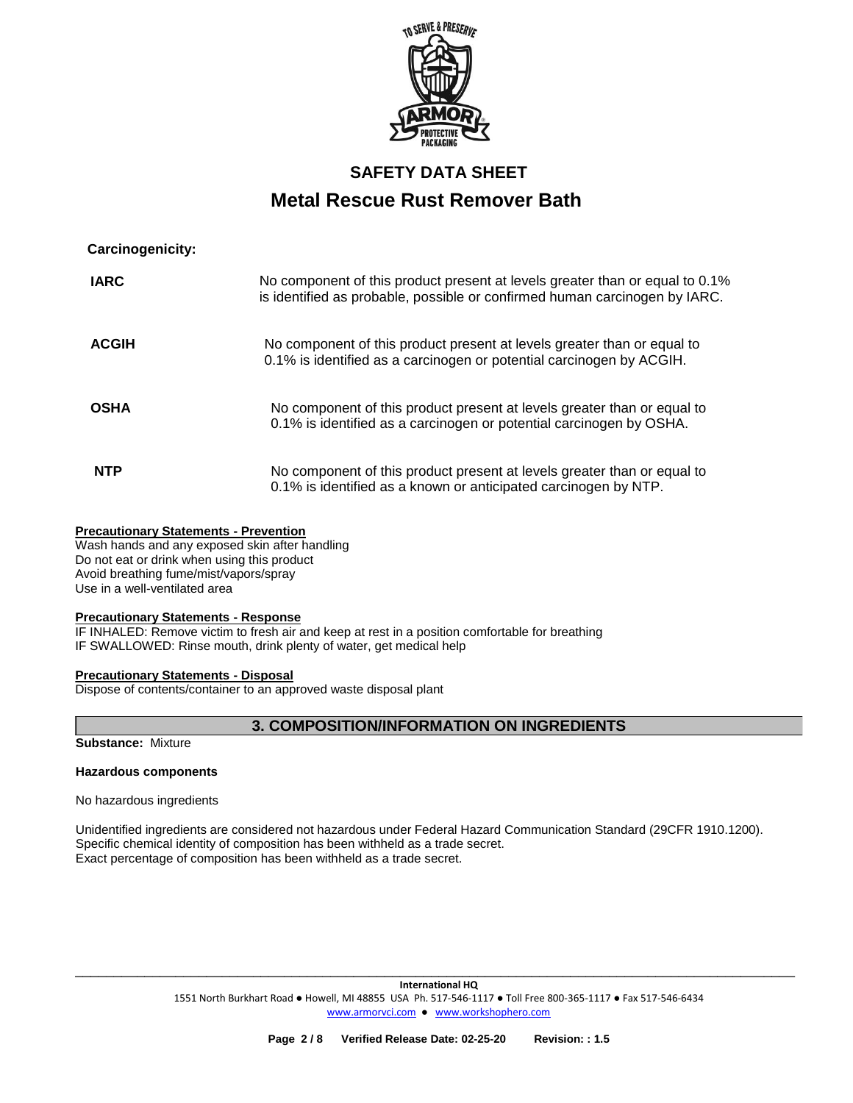

| Carcinogenicity: |                                                                                                                                                            |
|------------------|------------------------------------------------------------------------------------------------------------------------------------------------------------|
| <b>IARC</b>      | No component of this product present at levels greater than or equal to 0.1%<br>is identified as probable, possible or confirmed human carcinogen by IARC. |
| <b>ACGIH</b>     | No component of this product present at levels greater than or equal to<br>0.1% is identified as a carcinogen or potential carcinogen by ACGIH.            |
| <b>OSHA</b>      | No component of this product present at levels greater than or equal to<br>0.1% is identified as a carcinogen or potential carcinogen by OSHA.             |
| <b>NTP</b>       | No component of this product present at levels greater than or equal to<br>0.1% is identified as a known or anticipated carcinogen by NTP.                 |

### **Precautionary Statements - Prevention**

Wash hands and any exposed skin after handling Do not eat or drink when using this product Avoid breathing fume/mist/vapors/spray Use in a well-ventilated area

### **Precautionary Statements - Response**

IF INHALED: Remove victim to fresh air and keep at rest in a position comfortable for breathing IF SWALLOWED: Rinse mouth, drink plenty of water, get medical help

### **Precautionary Statements - Disposal**

Dispose of contents/container to an approved waste disposal plant

**3. COMPOSITION/INFORMATION ON INGREDIENTS** 

**Substance:** Mixture

## **Hazardous components**

No hazardous ingredients

Unidentified ingredients are considered not hazardous under Federal Hazard Communication Standard (29CFR 1910.1200). Specific chemical identity of composition has been withheld as a trade secret. Exact percentage of composition has been withheld as a trade secret.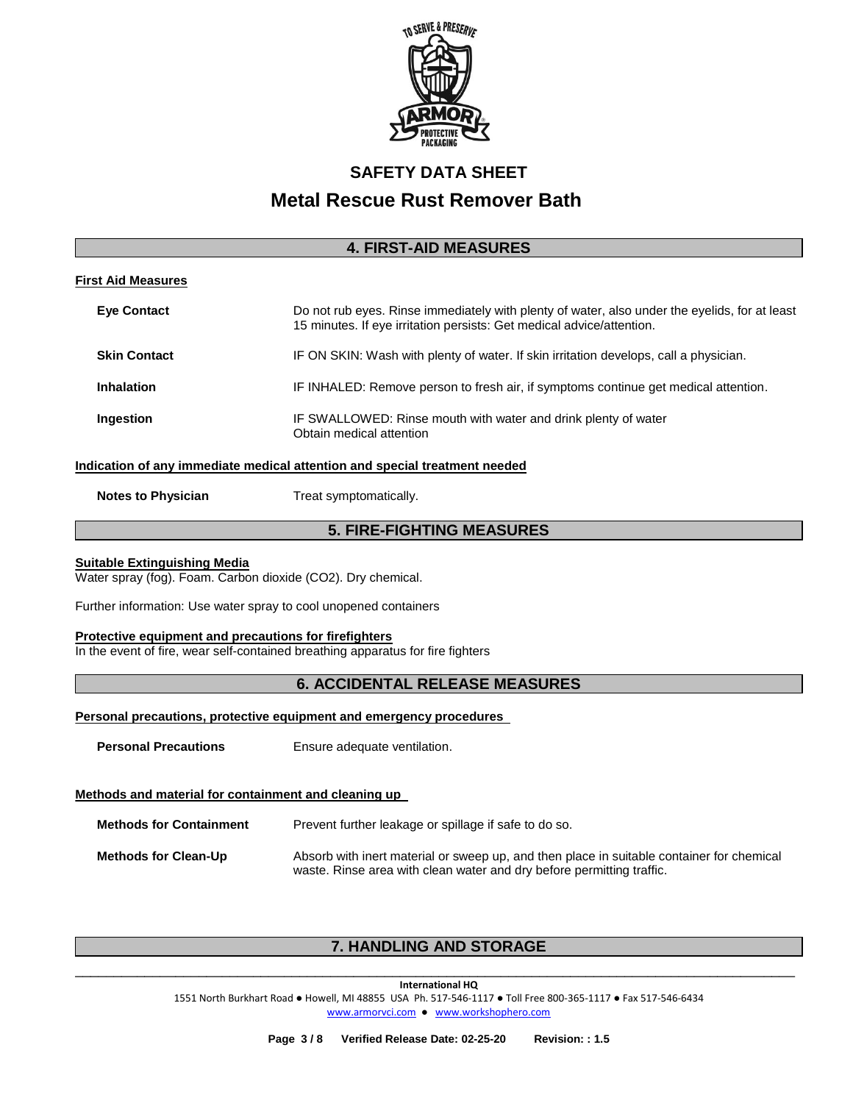

## **4. FIRST-AID MEASURES**

## **First Aid Measures**

| <b>Eye Contact</b>  | Do not rub eyes. Rinse immediately with plenty of water, also under the eyelids, for at least<br>15 minutes. If eye irritation persists: Get medical advice/attention. |
|---------------------|------------------------------------------------------------------------------------------------------------------------------------------------------------------------|
| <b>Skin Contact</b> | IF ON SKIN: Wash with plenty of water. If skin irritation develops, call a physician.                                                                                  |
| <b>Inhalation</b>   | IF INHALED: Remove person to fresh air, if symptoms continue get medical attention.                                                                                    |
| Ingestion           | IF SWALLOWED: Rinse mouth with water and drink plenty of water<br>Obtain medical attention                                                                             |

### **Indication of any immediate medical attention and special treatment needed**

**Notes to Physician**  Treat symptomatically.

## **5. FIRE-FIGHTING MEASURES**

### **Suitable Extinguishing Media**

Water spray (fog). Foam. Carbon dioxide (CO2). Dry chemical.

Further information: Use water spray to cool unopened containers

### **Protective equipment and precautions for firefighters**

In the event of fire, wear self-contained breathing apparatus for fire fighters

## **6. ACCIDENTAL RELEASE MEASURES**

**Personal precautions, protective equipment and emergency procedures** 

**Personal Precautions Ensure adequate ventilation.** 

### **Methods and material for containment and cleaning up**

| <b>Methods for Containment</b> | Prevent further leakage or spillage if safe to do so.                                     |  |
|--------------------------------|-------------------------------------------------------------------------------------------|--|
| <b>Methods for Clean-Up</b>    | Absorb with inert material or sweep up, and then place in suitable container for chemical |  |

waste. Rinse area with clean water and dry before permitting traffic.

## **7. HANDLING AND STORAGE**

\_\_\_\_\_\_\_\_\_\_\_\_\_\_\_\_\_\_\_\_\_\_\_\_\_\_\_\_\_\_\_\_\_\_\_\_\_\_\_\_\_\_\_\_\_\_\_\_\_\_\_\_\_\_\_\_\_\_\_\_\_\_\_\_\_\_\_\_\_\_\_\_\_\_\_\_\_\_\_\_\_\_\_\_\_\_\_\_\_\_\_\_\_ **International HQ**

1551 North Burkhart Road ● Howell, MI 48855 USA Ph. 517-546-1117 ● Toll Free 800-365-1117 ● Fax 517-546-6434 [www.armorvci.com](http://www.armorvci.com/) ● [www.workshophero.com](http://www.workshophero.com/)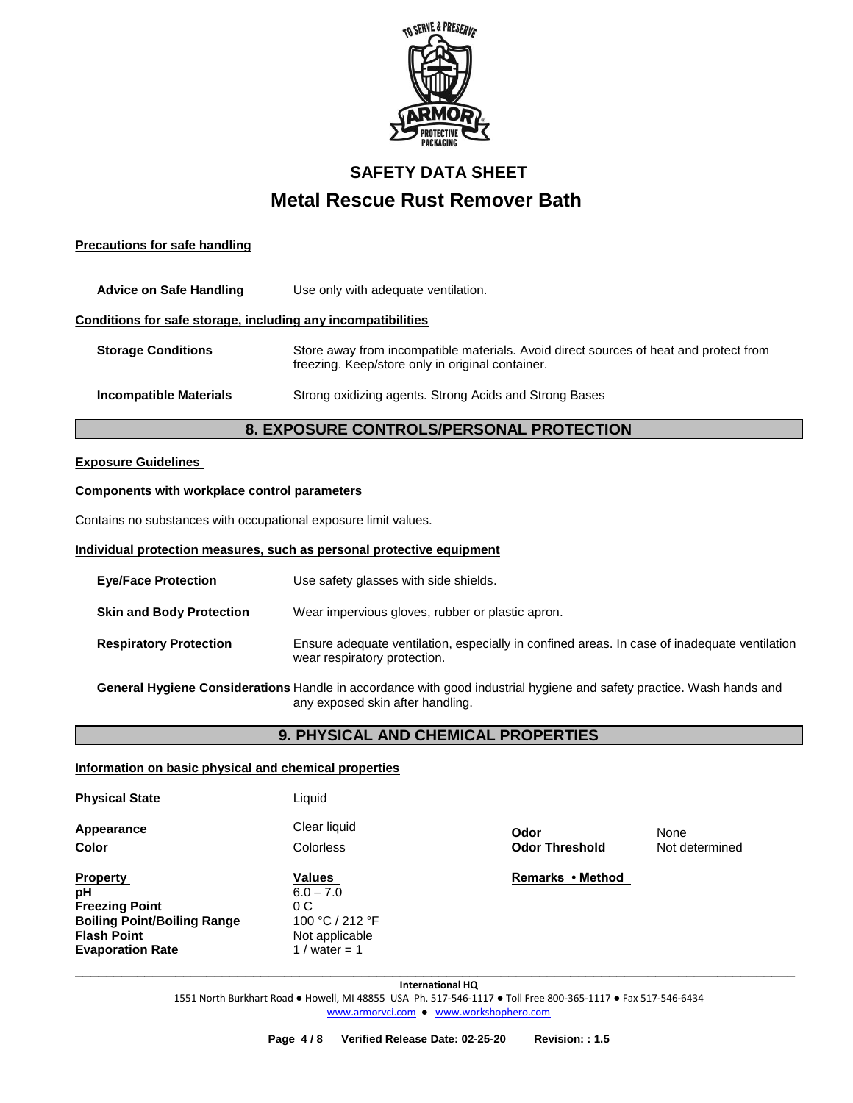

## **Precautions for safe handling**

| <b>Advice on Safe Handling</b>                               | Use only with adequate ventilation.                                                                                                       |  |  |
|--------------------------------------------------------------|-------------------------------------------------------------------------------------------------------------------------------------------|--|--|
| Conditions for safe storage, including any incompatibilities |                                                                                                                                           |  |  |
| <b>Storage Conditions</b>                                    | Store away from incompatible materials. Avoid direct sources of heat and protect from<br>freezing. Keep/store only in original container. |  |  |
| <b>Incompatible Materials</b>                                | Strong oxidizing agents. Strong Acids and Strong Bases                                                                                    |  |  |

## **8. EXPOSURE CONTROLS/PERSONAL PROTECTION**

### **Exposure Guidelines**

### **Components with workplace control parameters**

Contains no substances with occupational exposure limit values.

#### **Individual protection measures, such as personal protective equipment**

Liquid

| <b>Eve/Face Protection</b>      | Use safety glasses with side shields.                                                                                        |
|---------------------------------|------------------------------------------------------------------------------------------------------------------------------|
| <b>Skin and Body Protection</b> | Wear impervious gloves, rubber or plastic apron.                                                                             |
| <b>Respiratory Protection</b>   | Ensure adequate ventilation, especially in confined areas. In case of inadequate ventilation<br>wear respiratory protection. |
|                                 |                                                                                                                              |

**General Hygiene Considerations** Handle in accordance with good industrial hygiene and safety practice. Wash hands and any exposed skin after handling.

## **9. PHYSICAL AND CHEMICAL PROPERTIES**

### **Information on basic physical and chemical properties**

| <b>Physical State</b> |  |
|-----------------------|--|
|-----------------------|--|

**Appearance Clear liquid Clear liquid Odor Odor None** 

**Property Construction Construction Construction Values Construction Construction Remarks • Method pH** 6.0 – 7.0 **Freezing Point** 0 C **Boiling Point/Boiling Range<br>Flash Point** Not applicable<br>1 / water = 1 **Evaporation Rate** 

**Color** Colorless **Odor Threshold** Not determined

**International HQ** 1551 North Burkhart Road ● Howell, MI 48855 USA Ph. 517-546-1117 ● Toll Free 800-365-1117 ● Fax 517-546-6434 [www.armorvci.com](http://www.armorvci.com/) ● [www.workshophero.com](http://www.workshophero.com/)

\_\_\_\_\_\_\_\_\_\_\_\_\_\_\_\_\_\_\_\_\_\_\_\_\_\_\_\_\_\_\_\_\_\_\_\_\_\_\_\_\_\_\_\_\_\_\_\_\_\_\_\_\_\_\_\_\_\_\_\_\_\_\_\_\_\_\_\_\_\_\_\_\_\_\_\_\_\_\_\_\_\_\_\_\_\_\_\_\_\_\_\_\_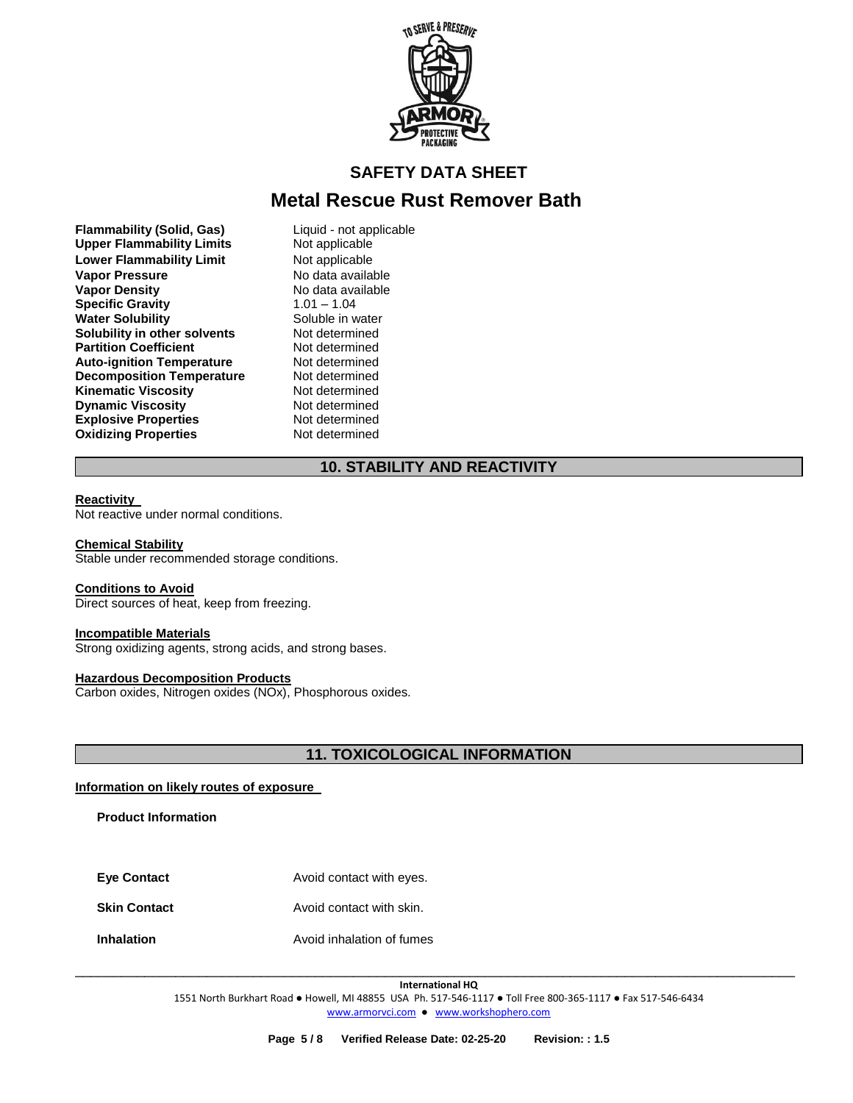

## **SAFETY DATA SHEET**

## **Metal Rescue Rust Remover Bath**

**Flammability (Solid, Gas)** Liquid - not applicable<br>
Upper Flammability Limits Not applicable **Upper Flammability Limits Lower Flammability Limit** Not applicable **Vapor Pressure No data available**<br> **Vapor Density No data available Specific Gravity** 1.01 – 1.04 **Water Solubility <b>Solubility** Soluble in water<br> **Solubility in other solvents** Not determined **Solubility in other solvents and Mot determined Partition Coefficient and Mot determined Coefficient Partition Coefficient Not determined**<br> **Auto-ignition Temperature** Not determined **Auto-ignition Temperature Mot determined<br>
<b>Decomposition Temperature** Not determined **Decomposition Temperature Not determined Kinematic Viscosity Not determined Kinematic Viscosity**<br> **Dynamic Viscosity**<br> **Not determined Dynamic Viscosity Explosive Properties** Not determined **Oxidizing Properties Not determined** 

**No data available** 

## **10. STABILITY AND REACTIVITY**

### **Reactivity**

Not reactive under normal conditions.

### **Chemical Stability**

Stable under recommended storage conditions.

### **Conditions to Avoid**

Direct sources of heat, keep from freezing.

### **Incompatible Materials**

Strong oxidizing agents, strong acids, and strong bases.

### **Hazardous Decomposition Products**

Carbon oxides, Nitrogen oxides (NOx), Phosphorous oxides.

## **11. TOXICOLOGICAL INFORMATION**

### **Information on likely routes of exposure**

**Product Information** 

| <b>Eye Contact</b>  | Avoid contact with eyes.  |
|---------------------|---------------------------|
| <b>Skin Contact</b> | Avoid contact with skin.  |
| <b>Inhalation</b>   | Avoid inhalation of fumes |

\_\_\_\_\_\_\_\_\_\_\_\_\_\_\_\_\_\_\_\_\_\_\_\_\_\_\_\_\_\_\_\_\_\_\_\_\_\_\_\_\_\_\_\_\_\_\_\_\_\_\_\_\_\_\_\_\_\_\_\_\_\_\_\_\_\_\_\_\_\_\_\_\_\_\_\_\_\_\_\_\_\_\_\_\_\_\_\_\_\_\_\_\_ **International HQ**

1551 North Burkhart Road ● Howell, MI 48855 USA Ph. 517-546-1117 ● Toll Free 800-365-1117 ● Fax 517-546-6434 [www.armorvci.com](http://www.armorvci.com/) ● [www.workshophero.com](http://www.workshophero.com/)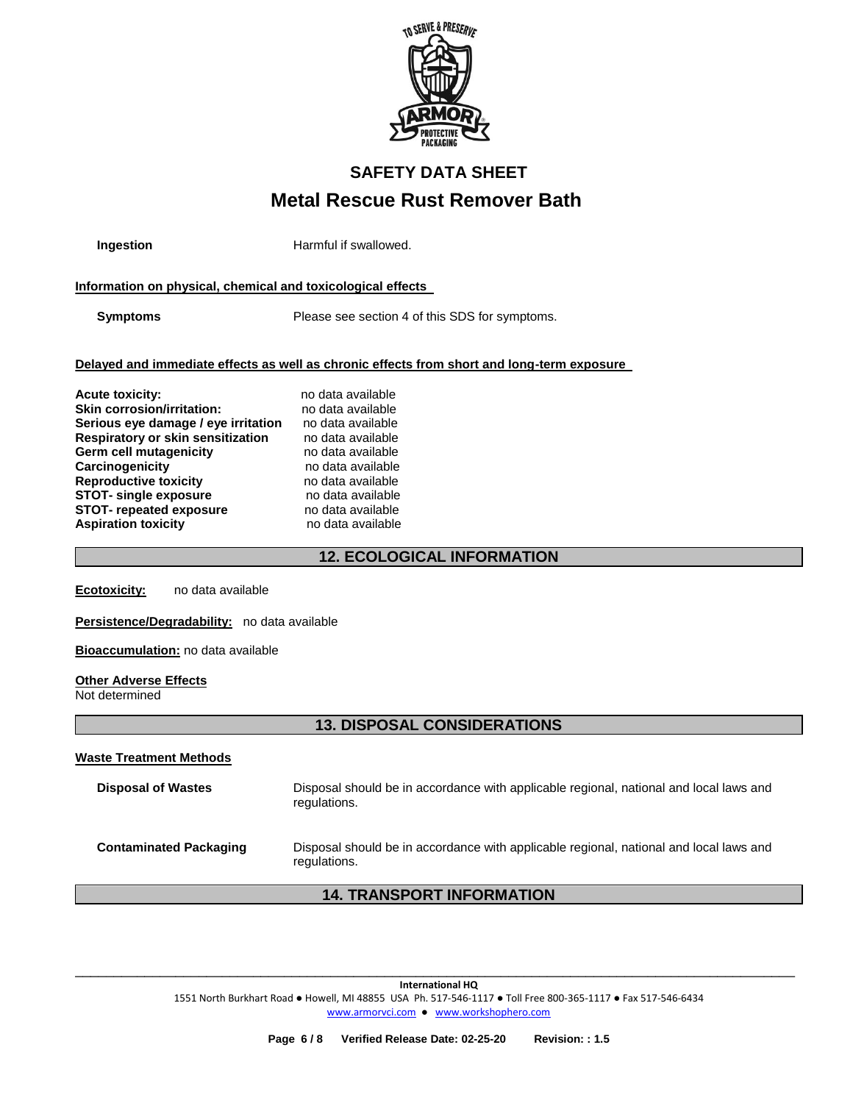

**Ingestion Harmful if swallowed.** 

## **Information on physical, chemical and toxicological effects**

**Symptoms** Please see section 4 of this SDS for symptoms.

### **Delayed and immediate effects as well as chronic effects from short and long-term exposure**

| <b>Acute toxicity:</b>                   | no data available |
|------------------------------------------|-------------------|
| <b>Skin corrosion/irritation:</b>        | no data available |
| Serious eye damage / eye irritation      | no data available |
| <b>Respiratory or skin sensitization</b> | no data available |
| Germ cell mutagenicity                   | no data available |
| <b>Carcinogenicity</b>                   | no data available |
| <b>Reproductive toxicity</b>             | no data available |
| <b>STOT- single exposure</b>             | no data available |
| <b>STOT- repeated exposure</b>           | no data available |
| <b>Aspiration toxicity</b>               | no data available |

## **12. ECOLOGICAL INFORMATION**

**Ecotoxicity:** no data available

### **Persistence/Degradability:** no data available

**Bioaccumulation:** no data available

### **Other Adverse Effects**

Not determined

## **13. DISPOSAL CONSIDERATIONS**

**Waste Treatment Methods**

| <b>Disposal of Wastes</b>     | Disposal should be in accordance with applicable regional, national and local laws and<br>regulations. |
|-------------------------------|--------------------------------------------------------------------------------------------------------|
| <b>Contaminated Packaging</b> | Disposal should be in accordance with applicable regional, national and local laws and<br>regulations. |

## **14. TRANSPORT INFORMATION**

**International HQ** 1551 North Burkhart Road ● Howell, MI 48855 USA Ph. 517-546-1117 ● Toll Free 800-365-1117 ● Fax 517-546-6434 [www.armorvci.com](http://www.armorvci.com/) ● [www.workshophero.com](http://www.workshophero.com/)

\_\_\_\_\_\_\_\_\_\_\_\_\_\_\_\_\_\_\_\_\_\_\_\_\_\_\_\_\_\_\_\_\_\_\_\_\_\_\_\_\_\_\_\_\_\_\_\_\_\_\_\_\_\_\_\_\_\_\_\_\_\_\_\_\_\_\_\_\_\_\_\_\_\_\_\_\_\_\_\_\_\_\_\_\_\_\_\_\_\_\_\_\_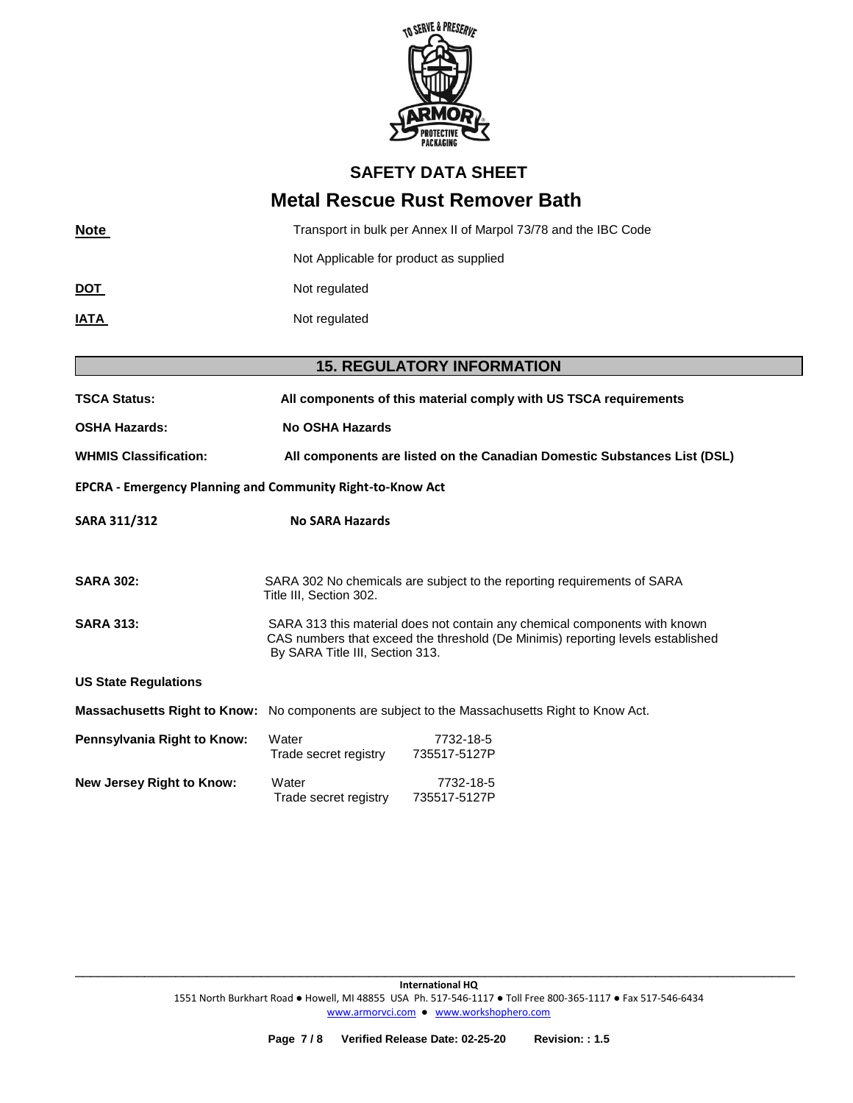

## **SAFETY DATA SHEET**

## **Metal Rescue Rust Remover Bath**

| <b>Note</b> | Transport in bulk per Annex II of Marpol 73/78 and the IBC Code |  |  |
|-------------|-----------------------------------------------------------------|--|--|
|             | Not Applicable for product as supplied                          |  |  |
| <u>DOT</u>  | Not regulated                                                   |  |  |
| <u>IATA</u> | Not regulated                                                   |  |  |
|             |                                                                 |  |  |

# **15. REGULATORY INFORMATION TSCA Status: All components of this material comply with US TSCA requirements OSHA Hazards: No OSHA Hazards WHMIS Classification: All components are listed on the Canadian Domestic Substances List (DSL) EPCRA - Emergency Planning and Community Right-to-Know Act SARA 311/312 No SARA Hazards SARA 302:** SARA 302 No chemicals are subject to the reporting requirements of SARA Title III, Section 302. **SARA 313:** SARA 313 this material does not contain any chemical components with known CAS numbers that exceed the threshold (De Minimis) reporting levels established By SARA Title III, Section 313. **US State Regulations Massachusetts Right to Know:** No components are subject to the Massachusetts Right to Know Act. **Pennsylvania Right to Know:** Water 7732-18-5 Trade secret registry 735517-5127P **New Jersey Right to Know:** Water 7732-18-5 Trade secret registry 735517-5127P